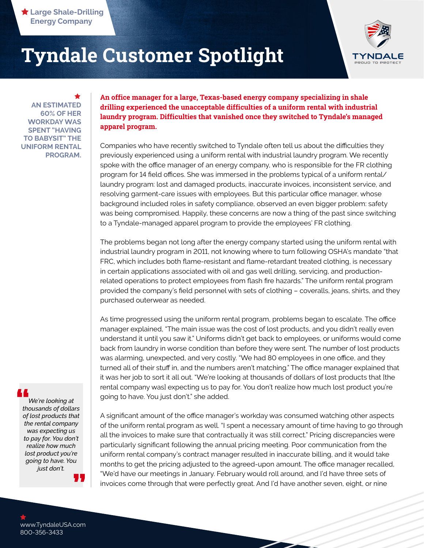

**AN ESTIMATED 60% OF HER WORKDAY WAS SPENT "HAVING TO BABYSIT" THE UNIFORM RENTAL PROGRAM.** ★

**An office manager for a large, Texas-based energy company specializing in shale drilling experienced the unacceptable difficulties of a uniform rental with industrial laundry program. Difficulties that vanished once they switched to Tyndale's managed apparel program.**

Companies who have recently switched to Tyndale often tell us about the difficulties they previously experienced using a uniform rental with industrial laundry program. We recently spoke with the office manager of an energy company, who is responsible for the FR clothing program for 14 field offices. She was immersed in the problems typical of a uniform rental/ laundry program: lost and damaged products, inaccurate invoices, inconsistent service, and resolving garment-care issues with employees. But this particular office manager, whose background included roles in safety compliance, observed an even bigger problem: safety was being compromised. Happily, these concerns are now a thing of the past since switching to a Tyndale-managed apparel program to provide the employees' FR clothing.

The problems began not long after the energy company started using the uniform rental with industrial laundry program in 2011, not knowing where to turn following OSHA's mandate "that FRC, which includes both flame-resistant and flame-retardant treated clothing, is necessary in certain applications associated with oil and gas well drilling, servicing, and productionrelated operations to protect employees from flash fire hazards." The uniform rental program provided the company's field personnel with sets of clothing – coveralls, jeans, shirts, and they purchased outerwear as needed.

As time progressed using the uniform rental program, problems began to escalate. The office manager explained, "The main issue was the cost of lost products, and you didn't really even understand it until you saw it." Uniforms didn't get back to employees, or uniforms would come back from laundry in worse condition than before they were sent. The number of lost products was alarming, unexpected, and very costly. "We had 80 employees in one office, and they turned all of their stuff in, and the numbers aren't matching." The office manager explained that it was her job to sort it all out. "We're looking at thousands of dollars of lost products that [the rental company was] expecting us to pay for. You don't realize how much lost product you're going to have. You just don't." she added.

*We're looking at*  **thousands of dollars**<br> **thousands of dollars**<br> **of loct products that** *of lost products that the rental company was expecting us to pay for. You don't realize how much lost product you're going to have. You just don't.*

A significant amount of the office manager's workday was consumed watching other aspects of the uniform rental program as well. "I spent a necessary amount of time having to go through all the invoices to make sure that contractually it was still correct." Pricing discrepancies were particularly significant following the annual pricing meeting. Poor communication from the uniform rental company's contract manager resulted in inaccurate billing, and it would take months to get the pricing adjusted to the agreed-upon amount. The office manager recalled, "We'd have our meetings in January. February would roll around, and I'd have three sets of invoices come through that were perfectly great. And I'd have another seven, eight, or nine

**"**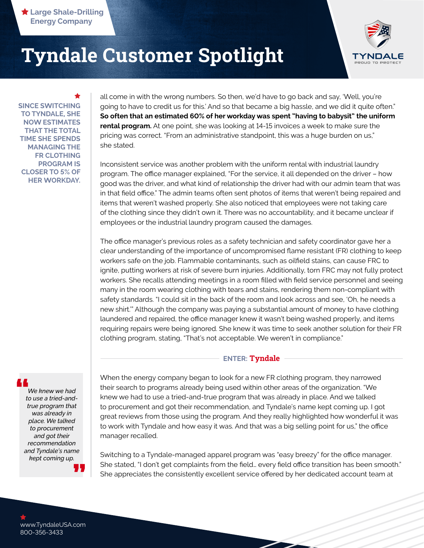

**SINCE SWITCHING TO TYNDALE, SHE NOW ESTIMATES THAT THE TOTAL TIME SHE SPENDS MANAGING THE FR CLOTHING PROGRAM IS CLOSER TO 5% OF HER WORKDAY.** ★

all come in with the wrong numbers. So then, we'd have to go back and say, 'Well, you're going to have to credit us for this.' And so that became a big hassle, and we did it quite often." **So often that an estimated 60% of her workday was spent "having to babysit" the uniform rental program.** At one point, she was looking at 14-15 invoices a week to make sure the pricing was correct. "From an administrative standpoint, this was a huge burden on us," she stated.

Inconsistent service was another problem with the uniform rental with industrial laundry program. The office manager explained, "For the service, it all depended on the driver – how good was the driver, and what kind of relationship the driver had with our admin team that was in that field office." The admin teams often sent photos of items that weren't being repaired and items that weren't washed properly. She also noticed that employees were not taking care of the clothing since they didn't own it. There was no accountability, and it became unclear if employees or the industrial laundry program caused the damages.

The office manager's previous roles as a safety technician and safety coordinator gave her a clear understanding of the importance of uncompromised flame resistant (FR) clothing to keep workers safe on the job. Flammable contaminants, such as oilfield stains, can cause FRC to ignite, putting workers at risk of severe burn injuries. Additionally, torn FRC may not fully protect workers. She recalls attending meetings in a room filled with field service personnel and seeing many in the room wearing clothing with tears and stains, rendering them non-compliant with safety standards. "I could sit in the back of the room and look across and see, 'Oh, he needs a new shirt.'" Although the company was paying a substantial amount of money to have clothing laundered and repaired, the office manager knew it wasn't being washed properly, and items requiring repairs were being ignored. She knew it was time to seek another solution for their FR clothing program, stating, "That's not acceptable. We weren't in compliance."

#### **ENTER: Tyndale**

When the energy company began to look for a new FR clothing program, they narrowed their search to programs already being used within other areas of the organization. "We knew we had to use a tried-and-true program that was already in place. And we talked to procurement and got their recommendation, and Tyndale's name kept coming up. I got great reviews from those using the program. And they really highlighted how wonderful it was to work with Tyndale and how easy it was. And that was a big selling point for us," the office manager recalled.

Switching to a Tyndale-managed apparel program was "easy breezy" for the office manager. She stated, "I don't get complaints from the field… every field office transition has been smooth." She appreciates the consistently excellent service offered by her dedicated account team at

**"**  $\frac{1}{t}$ *We knew we had to use a tried-andtrue program that was already in place. We talked to procurement and got their recommendation and Tyndale's name kept coming up.*

www.TyndaleUSA.com 800-356-3433

 $\bigstar$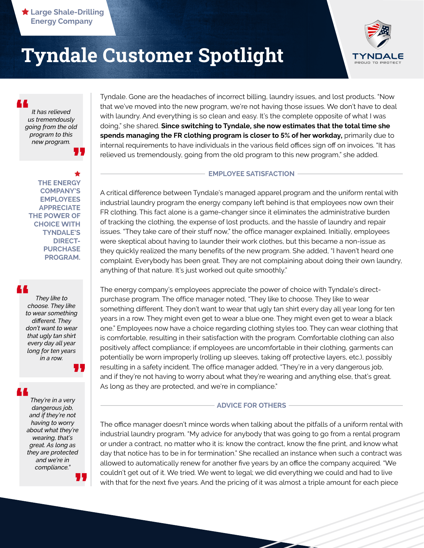

*It has relieved us tremendously going from the old program to this new program.* **" "**

**THE ENERGY COMPANY'S EMPLOYEES APPRECIATE THE POWER OF CHOICE WITH TYNDALE'S DIRECT-PURCHASE PROGRAM.** ★

### **"**

*They like to choose. They like to wear something different. They don't want to wear that ugly tan shirt every day all year long for ten years in a row.*

**"**

*They're in a very dangerous job, and if they're not having to worry about what they're wearing, that's great. As long as they are protected and we're in compliance."* **" "**

Tyndale. Gone are the headaches of incorrect billing, laundry issues, and lost products. "Now that we've moved into the new program, we're not having those issues. We don't have to deal with laundry. And everything is so clean and easy. It's the complete opposite of what I was doing," she shared. **Since switching to Tyndale, she now estimates that the total time she spends managing the FR clothing program is closer to 5% of her workday,** primarily due to internal requirements to have individuals in the various field offices sign off on invoices. "It has relieved us tremendously, going from the old program to this new program," she added.

#### **EMPLOYEE SATISFACTION**

A critical difference between Tyndale's managed apparel program and the uniform rental with industrial laundry program the energy company left behind is that employees now own their FR clothing. This fact alone is a game-changer since it eliminates the administrative burden of tracking the clothing, the expense of lost products, and the hassle of laundry and repair issues. "They take care of their stuff now," the office manager explained. Initially, employees were skeptical about having to launder their work clothes, but this became a non-issue as they quickly realized the many benefits of the new program. She added, "I haven't heard one complaint. Everybody has been great. They are not complaining about doing their own laundry, anything of that nature. It's just worked out quite smoothly."

The energy company's employees appreciate the power of choice with Tyndale's directpurchase program. The office manager noted, "They like to choose. They like to wear something different. They don't want to wear that ugly tan shirt every day all year long for ten years in a row. They might even get to wear a blue one. They might even get to wear a black one." Employees now have a choice regarding clothing styles too. They can wear clothing that is comfortable, resulting in their satisfaction with the program. Comfortable clothing can also positively affect compliance; if employees are uncomfortable in their clothing, garments can potentially be worn improperly (rolling up sleeves, taking off protective layers, etc.), possibly resulting in a safety incident. The office manager added, "They're in a very dangerous job, and if they're not having to worry about what they're wearing and anything else, that's great. As long as they are protected, and we're in compliance."

#### **ADVICE FOR OTHERS**

The office manager doesn't mince words when talking about the pitfalls of a uniform rental with industrial laundry program. "My advice for anybody that was going to go from a rental program or under a contract, no matter who it is: know the contract, know the fine print, and know what day that notice has to be in for termination." She recalled an instance when such a contract was allowed to automatically renew for another five years by an office the company acquired. "We couldn't get out of it. We tried. We went to legal; we did everything we could and had to live with that for the next five years. And the pricing of it was almost a triple amount for each piece